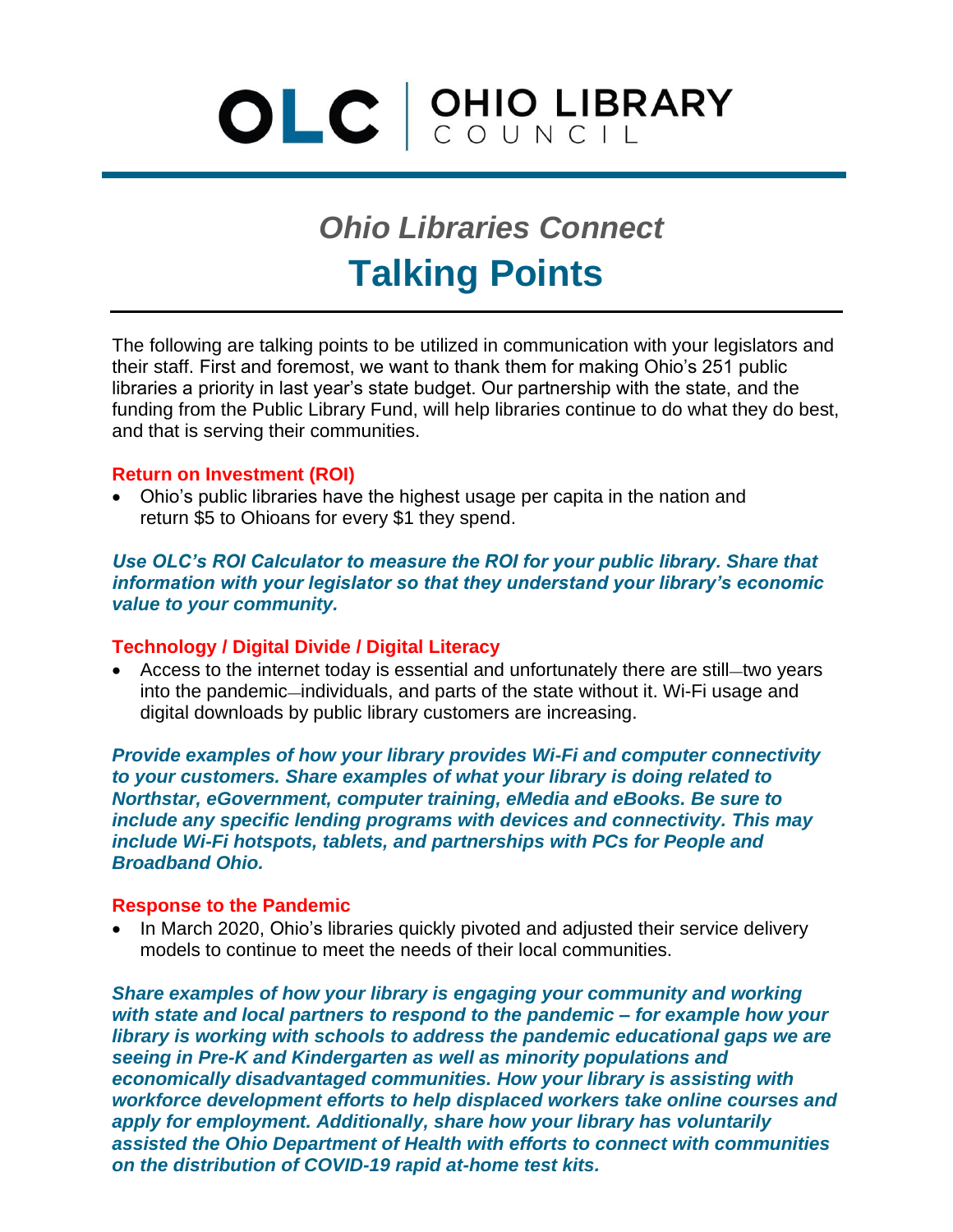# OLC CUNCIL

# **Talking Points** *Ohio Libraries Connect*

The following are talking points to be utilized in communication with your legislators and their staff. First and foremost, we want to thank them for making Ohio's 251 public libraries a priority in last year's state budget. Our partnership with the state, and the funding from the Public Library Fund, will help libraries continue to do what they do best, and that is serving their communities.

## **Return on Investment (ROI)**

• Ohio's public libraries have the highest usage per capita in the nation and return \$5 to Ohioans for every \$1 they spend.

*Use OLC's ROI Calculator to measure the ROI for your public library. Share that information with your legislator so that they understand your library's economic value to your community.*

# **Technology / Digital Divide / Digital Literacy**

• Access to the internet today is essential and unfortunately there are still—two years into the pandemic—individuals, and parts of the state without it. Wi-Fi usage and digital downloads by public library customers are increasing.

*Provide examples of how your library provides Wi-Fi and computer connectivity to your customers. Share examples of what your library is doing related to Northstar, eGovernment, computer training, eMedia and eBooks. Be sure to include any specific lending programs with devices and connectivity. This may include Wi-Fi hotspots, tablets, and partnerships with PCs for People and Broadband Ohio.*

## **Response to the Pandemic**

• In March 2020, Ohio's libraries quickly pivoted and adjusted their service delivery models to continue to meet the needs of their local communities.

*Share examples of how your library is engaging your community and working with state and local partners to respond to the pandemic – for example how your library is working with schools to address the pandemic educational gaps we are seeing in Pre-K and Kindergarten as well as minority populations and economically disadvantaged communities. How your library is assisting with workforce development efforts to help displaced workers take online courses and apply for employment. Additionally, share how your library has voluntarily assisted the Ohio Department of Health with efforts to connect with communities on the distribution of COVID-19 rapid at-home test kits.*